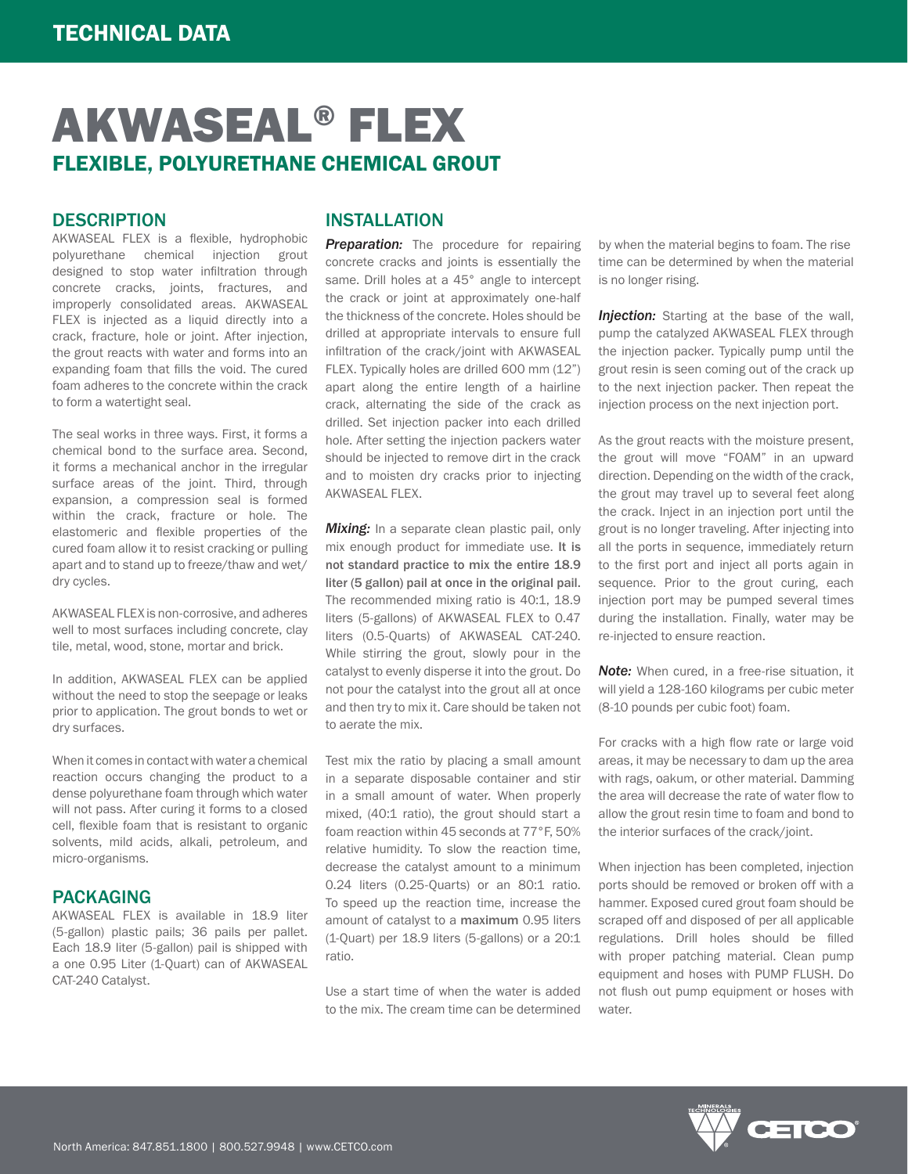# AKWASEAL® FLEX FLEXIBLE, POLYURETHANE CHEMICAL GROUT

### **DESCRIPTION**

AKWASEAL FLEX is a flexible, hydrophobic polyurethane chemical injection grout designed to stop water infiltration through concrete cracks, joints, fractures, and improperly consolidated areas. AKWASEAL FLEX is injected as a liquid directly into a crack, fracture, hole or joint. After injection, the grout reacts with water and forms into an expanding foam that fills the void. The cured foam adheres to the concrete within the crack to form a watertight seal.

The seal works in three ways. First, it forms a chemical bond to the surface area. Second, it forms a mechanical anchor in the irregular surface areas of the joint. Third, through expansion, a compression seal is formed within the crack, fracture or hole. The elastomeric and flexible properties of the cured foam allow it to resist cracking or pulling apart and to stand up to freeze/thaw and wet/ dry cycles.

AKWASEAL FLEX is non-corrosive, and adheres well to most surfaces including concrete, clay tile, metal, wood, stone, mortar and brick.

In addition, AKWASEAL FLEX can be applied without the need to stop the seepage or leaks prior to application. The grout bonds to wet or dry surfaces.

When it comes in contact with water a chemical reaction occurs changing the product to a dense polyurethane foam through which water will not pass. After curing it forms to a closed cell, flexible foam that is resistant to organic solvents, mild acids, alkali, petroleum, and micro-organisms.

### PACKAGING

AKWASEAL FLEX is available in 18.9 liter (5-gallon) plastic pails; 36 pails per pallet. Each 18.9 liter (5-gallon) pail is shipped with a one 0.95 Liter (1-Quart) can of AKWASEAL CAT-240 Catalyst.

### INSTALLATION

**Preparation:** The procedure for repairing concrete cracks and joints is essentially the same. Drill holes at a 45° angle to intercept the crack or joint at approximately one-half the thickness of the concrete. Holes should be drilled at appropriate intervals to ensure full infiltration of the crack/joint with AKWASEAL FLEX. Typically holes are drilled 600 mm (12") apart along the entire length of a hairline crack, alternating the side of the crack as drilled. Set injection packer into each drilled hole. After setting the injection packers water should be injected to remove dirt in the crack and to moisten dry cracks prior to injecting AKWASEAL FLEX.

*Mixing:* In a separate clean plastic pail, only mix enough product for immediate use. It is not standard practice to mix the entire 18.9 liter (5 gallon) pail at once in the original pail. The recommended mixing ratio is 40:1, 18.9 liters (5-gallons) of AKWASEAL FLEX to 0.47 liters (0.5-Quarts) of AKWASEAL CAT-240. While stirring the grout, slowly pour in the catalyst to evenly disperse it into the grout. Do not pour the catalyst into the grout all at once and then try to mix it. Care should be taken not to aerate the mix.

Test mix the ratio by placing a small amount in a separate disposable container and stir in a small amount of water. When properly mixed, (40:1 ratio), the grout should start a foam reaction within 45 seconds at 77°F, 50% relative humidity. To slow the reaction time, decrease the catalyst amount to a minimum 0.24 liters (0.25-Quarts) or an 80:1 ratio. To speed up the reaction time, increase the amount of catalyst to a maximum 0.95 liters (1-Quart) per 18.9 liters (5-gallons) or a 20:1 ratio.

Use a start time of when the water is added to the mix. The cream time can be determined by when the material begins to foam. The rise time can be determined by when the material is no longer rising.

**Injection:** Starting at the base of the wall, pump the catalyzed AKWASEAL FLEX through the injection packer. Typically pump until the grout resin is seen coming out of the crack up to the next injection packer. Then repeat the injection process on the next injection port.

As the grout reacts with the moisture present, the grout will move "FOAM" in an upward direction. Depending on the width of the crack, the grout may travel up to several feet along the crack. Inject in an injection port until the grout is no longer traveling. After injecting into all the ports in sequence, immediately return to the first port and inject all ports again in sequence. Prior to the grout curing, each injection port may be pumped several times during the installation. Finally, water may be re-injected to ensure reaction.

*Note:* When cured, in a free-rise situation, it will yield a 128-160 kilograms per cubic meter (8-10 pounds per cubic foot) foam.

For cracks with a high flow rate or large void areas, it may be necessary to dam up the area with rags, oakum, or other material. Damming the area will decrease the rate of water flow to allow the grout resin time to foam and bond to the interior surfaces of the crack/joint.

When injection has been completed, injection ports should be removed or broken off with a hammer. Exposed cured grout foam should be scraped off and disposed of per all applicable regulations. Drill holes should be filled with proper patching material. Clean pump equipment and hoses with PUMP FLUSH. Do not flush out pump equipment or hoses with water.